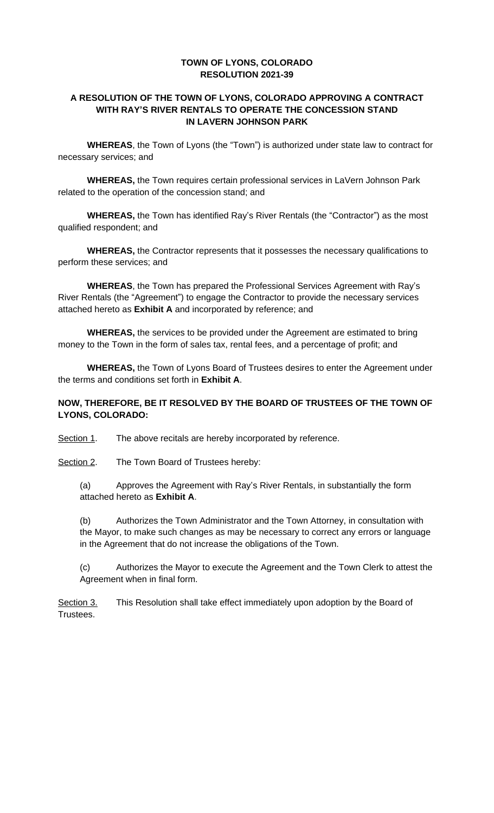### **TOWN OF LYONS, COLORADO RESOLUTION 2021-39**

#### **A RESOLUTION OF THE TOWN OF LYONS, COLORADO APPROVING A CONTRACT WITH RAY'S RIVER RENTALS TO OPERATE THE CONCESSION STAND IN LAVERN JOHNSON PARK**

**WHEREAS**, the Town of Lyons (the "Town") is authorized under state law to contract for necessary services; and

**WHEREAS,** the Town requires certain professional services in LaVern Johnson Park related to the operation of the concession stand; and

**WHEREAS,** the Town has identified Ray's River Rentals (the "Contractor") as the most qualified respondent; and

**WHEREAS,** the Contractor represents that it possesses the necessary qualifications to perform these services; and

**WHEREAS**, the Town has prepared the Professional Services Agreement with Ray's River Rentals (the "Agreement") to engage the Contractor to provide the necessary services attached hereto as **Exhibit A** and incorporated by reference; and

**WHEREAS,** the services to be provided under the Agreement are estimated to bring money to the Town in the form of sales tax, rental fees, and a percentage of profit; and

**WHEREAS,** the Town of Lyons Board of Trustees desires to enter the Agreement under the terms and conditions set forth in **Exhibit A**.

### **NOW, THEREFORE, BE IT RESOLVED BY THE BOARD OF TRUSTEES OF THE TOWN OF LYONS, COLORADO:**

Section 1. The above recitals are hereby incorporated by reference.

Section 2. The Town Board of Trustees hereby:

(a) Approves the Agreement with Ray's River Rentals, in substantially the form attached hereto as **Exhibit A**.

(b) Authorizes the Town Administrator and the Town Attorney, in consultation with the Mayor, to make such changes as may be necessary to correct any errors or language in the Agreement that do not increase the obligations of the Town.

(c) Authorizes the Mayor to execute the Agreement and the Town Clerk to attest the Agreement when in final form.

Section 3. This Resolution shall take effect immediately upon adoption by the Board of Trustees.